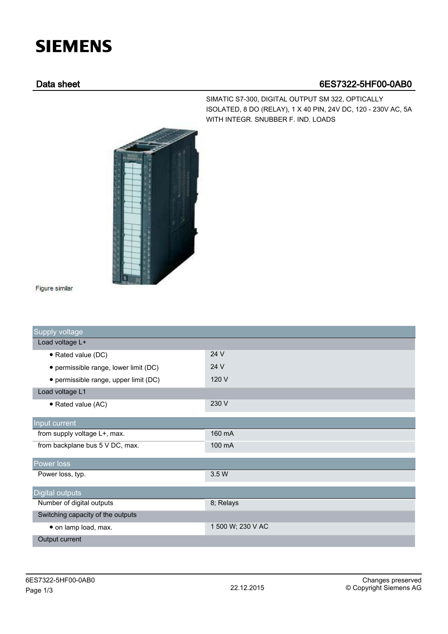## **SIEMENS**

## Data sheet 6ES7322-5HF00-0AB0

SIMATIC S7-300, DIGITAL OUTPUT SM 322, OPTICALLY ISOLATED, 8 DO (RELAY), 1 X 40 PIN, 24V DC, 120 - 230V AC, 5A WITH INTEGR. SNUBBER F. IND. LOADS



Figure similar

| Supply voltage                        |                   |
|---------------------------------------|-------------------|
| Load voltage L+                       |                   |
| • Rated value (DC)                    | 24 V              |
| • permissible range, lower limit (DC) | 24 V              |
| • permissible range, upper limit (DC) | 120 V             |
| Load voltage L1                       |                   |
| • Rated value (AC)                    | 230 V             |
| Input current                         |                   |
| from supply voltage L+, max.          | 160 mA            |
| from backplane bus 5 V DC, max.       | 100 mA            |
| Power loss                            |                   |
| Power loss, typ.                      | 3.5 W             |
| <b>Digital outputs</b>                |                   |
| Number of digital outputs             | 8; Relays         |
| Switching capacity of the outputs     |                   |
| · on lamp load, max.                  | 1 500 W; 230 V AC |
| Output current                        |                   |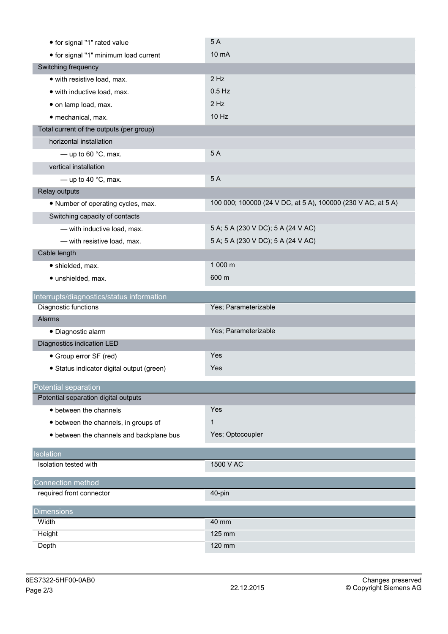|                                                                   | 5A                                                           |
|-------------------------------------------------------------------|--------------------------------------------------------------|
| • for signal "1" minimum load current                             | 10 mA                                                        |
| Switching frequency                                               |                                                              |
| · with resistive load, max.                                       | $2$ Hz                                                       |
| · with inductive load, max.                                       | $0.5$ Hz                                                     |
| · on lamp load, max.                                              | $2$ Hz                                                       |
| · mechanical, max.                                                | 10 Hz                                                        |
| Total current of the outputs (per group)                          |                                                              |
| horizontal installation                                           |                                                              |
| $-$ up to 60 $^{\circ}$ C, max.                                   | 5A                                                           |
| vertical installation                                             |                                                              |
| - up to 40 $^{\circ}$ C, max.                                     | 5A                                                           |
| Relay outputs                                                     |                                                              |
| • Number of operating cycles, max.                                | 100 000; 100000 (24 V DC, at 5 A), 100000 (230 V AC, at 5 A) |
| Switching capacity of contacts                                    |                                                              |
| - with inductive load, max.                                       | 5 A; 5 A (230 V DC); 5 A (24 V AC)                           |
| - with resistive load, max.                                       | 5 A; 5 A (230 V DC); 5 A (24 V AC)                           |
| Cable length                                                      |                                                              |
|                                                                   | 1 000 m                                                      |
| · shielded, max.                                                  |                                                              |
| · unshielded, max.                                                | 600 m                                                        |
|                                                                   |                                                              |
| Interrupts/diagnostics/status information<br>Diagnostic functions | Yes; Parameterizable                                         |
| Alarms                                                            |                                                              |
| · Diagnostic alarm                                                | Yes; Parameterizable                                         |
| Diagnostics indication LED                                        |                                                              |
| • Group error SF (red)                                            | Yes                                                          |
| · Status indicator digital output (green)                         | Yes                                                          |
|                                                                   |                                                              |
| Potential separation                                              |                                                              |
| Potential separation digital outputs                              |                                                              |
| • between the channels                                            | Yes                                                          |
| • between the channels, in groups of                              | $\mathbf 1$                                                  |
| • between the channels and backplane bus                          | Yes; Optocoupler                                             |
| Isolation                                                         |                                                              |
| Isolation tested with                                             | 1500 V AC                                                    |
| Connection method                                                 |                                                              |
| required front connector                                          | 40-pin                                                       |
|                                                                   |                                                              |
| <b>Dimensions</b><br>Width                                        | 40 mm                                                        |
| Height                                                            | 125 mm                                                       |